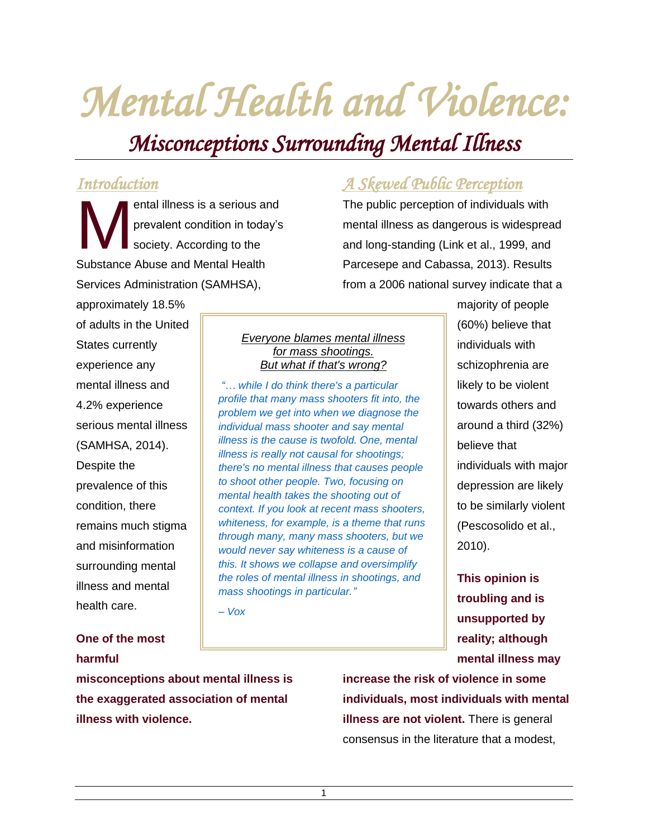# *Mental Health and Violence:*

## *Misconceptions Surrounding Mental Illness*

## *Introduction*

ental illness is a serious and prevalent condition in today's society. According to the Substance Abuse and Mental Health Services Administration (SAMHSA), M

## *A Skewed Public Perception*

The public perception of individuals with mental illness as dangerous is widespread and long-standing (Link et al., 1999, and Parcesepe and Cabassa, 2013). Results from a 2006 national survey indicate that a

approximately 18.5% of adults in the United States currently experience any mental illness and 4.2% experience serious mental illness (SAMHSA, 2014). Despite the prevalence of this condition, there remains much stigma and misinformation surrounding mental illness and mental health care.

## **One of the most harmful**

#### *Everyone blames mental illness for mass shootings. But what if that's wrong?*

*"… while I do think there's a particular profile that many mass shooters fit into, the problem we get into when we diagnose the individual mass shooter and say mental illness is the cause is twofold. One, mental illness is really not causal for shootings; there's no mental illness that causes people to shoot other people. Two, focusing on mental health takes the shooting out of context. If you look at recent mass shooters, whiteness, for example, is a theme that runs through many, many mass shooters, but we would never say whiteness is a cause of this. It shows we collapse and oversimplify the roles of mental illness in shootings, and mass shootings in particular."*

*– Vox*

majority of people (60%) believe that individuals with schizophrenia are likely to be violent towards others and around a third (32%) believe that individuals with major depression are likely to be similarly violent (Pescosolido et al., 2010).

**This opinion is troubling and is unsupported by reality; although mental illness may** 

**misconceptions about mental illness is the exaggerated association of mental illness with violence.**

**increase the risk of violence in some individuals, most individuals with mental illness are not violent.** There is general consensus in the literature that a modest,

1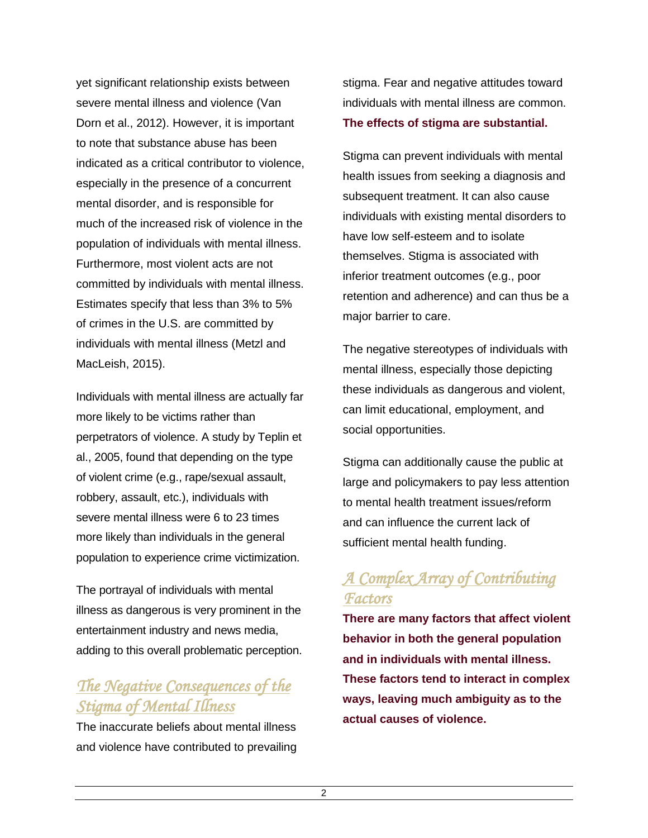yet significant relationship exists between severe mental illness and violence (Van Dorn et al., 2012). However, it is important to note that substance abuse has been indicated as a critical contributor to violence, especially in the presence of a concurrent mental disorder, and is responsible for much of the increased risk of violence in the population of individuals with mental illness. Furthermore, most violent acts are not committed by individuals with mental illness. Estimates specify that less than 3% to 5% of crimes in the U.S. are committed by individuals with mental illness (Metzl and MacLeish, 2015).

Individuals with mental illness are actually far more likely to be victims rather than perpetrators of violence. A study by Teplin et al., 2005, found that depending on the type of violent crime (e.g., rape/sexual assault, robbery, assault, etc.), individuals with severe mental illness were 6 to 23 times more likely than individuals in the general population to experience crime victimization.

The portrayal of individuals with mental illness as dangerous is very prominent in the entertainment industry and news media, adding to this overall problematic perception.

## *The Negative Consequences of the Stigma of Mental Illness*

The inaccurate beliefs about mental illness and violence have contributed to prevailing stigma. Fear and negative attitudes toward individuals with mental illness are common. **The effects of stigma are substantial.**

Stigma can prevent individuals with mental health issues from seeking a diagnosis and subsequent treatment. It can also cause individuals with existing mental disorders to have low self-esteem and to isolate themselves. Stigma is associated with inferior treatment outcomes (e.g., poor retention and adherence) and can thus be a major barrier to care.

The negative stereotypes of individuals with mental illness, especially those depicting these individuals as dangerous and violent, can limit educational, employment, and social opportunities.

Stigma can additionally cause the public at large and policymakers to pay less attention to mental health treatment issues/reform and can influence the current lack of sufficient mental health funding.

## *A Complex Array of Contributing Factors*

**There are many factors that affect violent behavior in both the general population and in individuals with mental illness. These factors tend to interact in complex ways, leaving much ambiguity as to the actual causes of violence.**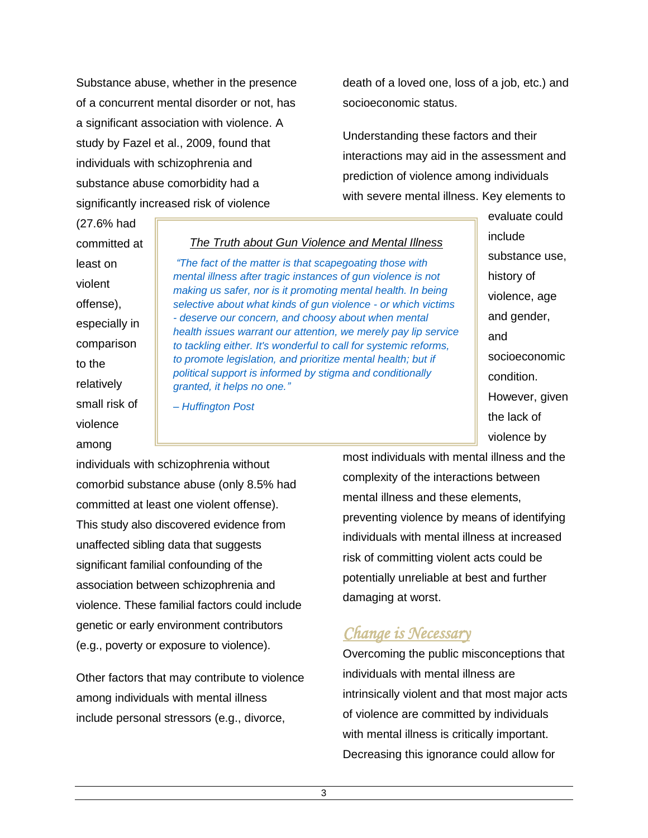Substance abuse, whether in the presence of a concurrent mental disorder or not, has a significant association with violence. A study by Fazel et al., 2009, found that individuals with schizophrenia and substance abuse comorbidity had a significantly increased risk of violence

death of a loved one, loss of a job, etc.) and socioeconomic status.

Understanding these factors and their interactions may aid in the assessment and prediction of violence among individuals with severe mental illness. Key elements to

(27.6% had committed at least on violent offense), especially in comparison to the relatively small risk of violence among

#### *The Truth about Gun Violence and Mental Illness*

*"The fact of the matter is that scapegoating those with mental illness after tragic instances of gun violence is not making us safer, nor is it promoting mental health. In being selective about what kinds of gun violence - or which victims - deserve our concern, and choosy about when mental health issues warrant our attention, we merely pay lip service to tackling either. It's wonderful to call for systemic reforms, to promote legislation, and prioritize mental health; but if political support is informed by stigma and conditionally granted, it helps no one."*

*– Huffington Post*

include substance use, history of violence, age and gender, and socioeconomic condition. However, given the lack of violence by

evaluate could

individuals with schizophrenia without comorbid substance abuse (only 8.5% had committed at least one violent offense). This study also discovered evidence from unaffected sibling data that suggests significant familial confounding of the association between schizophrenia and violence. These familial factors could include genetic or early environment contributors (e.g., poverty or exposure to violence).

Other factors that may contribute to violence among individuals with mental illness include personal stressors (e.g., divorce,

most individuals with mental illness and the complexity of the interactions between mental illness and these elements, preventing violence by means of identifying individuals with mental illness at increased risk of committing violent acts could be potentially unreliable at best and further damaging at worst.

### *Change is Necessary*

Overcoming the public misconceptions that individuals with mental illness are intrinsically violent and that most major acts of violence are committed by individuals with mental illness is critically important. Decreasing this ignorance could allow for